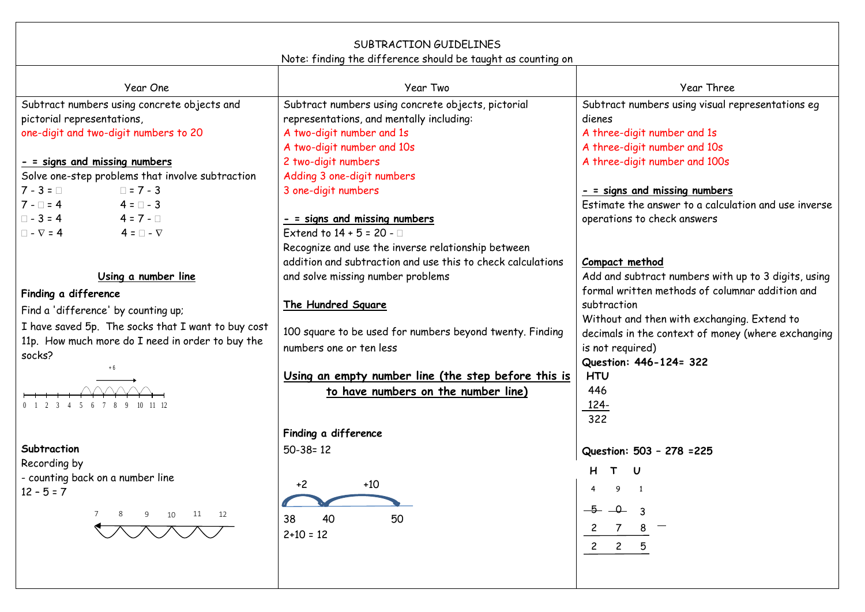| SUBTRACTION GUIDELINES<br>Note: finding the difference should be taught as counting on |                                                             |                                                      |  |
|----------------------------------------------------------------------------------------|-------------------------------------------------------------|------------------------------------------------------|--|
|                                                                                        |                                                             |                                                      |  |
| Year One                                                                               | Year Two                                                    | Year Three                                           |  |
| Subtract numbers using concrete objects and                                            | Subtract numbers using concrete objects, pictorial          | Subtract numbers using visual representations eg     |  |
| pictorial representations,                                                             | representations, and mentally including:                    | dienes                                               |  |
| one-digit and two-digit numbers to 20                                                  | A two-digit number and 1s                                   | A three-digit number and 1s                          |  |
|                                                                                        | A two-digit number and 10s                                  | A three-digit number and 10s                         |  |
| - = signs and missing numbers                                                          | 2 two-digit numbers                                         | A three-digit number and 100s                        |  |
| Solve one-step problems that involve subtraction                                       | Adding 3 one-digit numbers                                  |                                                      |  |
| $7 - 3 = \Box$<br>$\Box$ = 7 - 3                                                       | 3 one-digit numbers                                         | - = signs and missing numbers                        |  |
| $7 - \square = 4$ 4 = $\square$ - 3                                                    |                                                             | Estimate the answer to a calculation and use inverse |  |
| $\Box$ - 3 = 4 4 = 7 - $\Box$                                                          | - = signs and missing numbers                               | operations to check answers                          |  |
| $\Box$ - $\nabla$ = 4<br>$4 = \Box - \nabla$                                           | Extend to $14 + 5 = 20 - 1$                                 |                                                      |  |
|                                                                                        | Recognize and use the inverse relationship between          |                                                      |  |
|                                                                                        | addition and subtraction and use this to check calculations | Compact method                                       |  |
| Using a number line                                                                    | and solve missing number problems                           | Add and subtract numbers with up to 3 digits, using  |  |
| Finding a difference                                                                   |                                                             | formal written methods of columnar addition and      |  |
| Find a 'difference' by counting up;                                                    | The Hundred Square                                          | subtraction                                          |  |
| I have saved 5p. The socks that I want to buy cost                                     |                                                             | Without and then with exchanging. Extend to          |  |
| 11p. How much more do I need in order to buy the                                       | 100 square to be used for numbers beyond twenty. Finding    | decimals in the context of money (where exchanging   |  |
| socks?                                                                                 | numbers one or ten less                                     | is not required)                                     |  |
| $+6$                                                                                   |                                                             | Question: 446-124= 322                               |  |
|                                                                                        | Using an empty number line (the step before this is         | <b>HTU</b>                                           |  |
|                                                                                        | to have numbers on the number line)                         | 446                                                  |  |
| 0 1 2 3 4 5 6 7 8 9 10 11 12                                                           |                                                             | <u> 124-</u>                                         |  |
|                                                                                        |                                                             | 322                                                  |  |
|                                                                                        | Finding a difference                                        |                                                      |  |
| Subtraction                                                                            | $50 - 38 = 12$                                              | Question: 503 - 278 = 225                            |  |
| Recording by                                                                           |                                                             | $\mathbf{T}$                                         |  |
| - counting back on a number line                                                       | $+2$<br>$+10$                                               | 9 1                                                  |  |
| $12 - 5 = 7$                                                                           |                                                             |                                                      |  |
| 7 8 9 10 11 12                                                                         | 38<br>40<br>50                                              | $-5 - 1 - 3$                                         |  |
|                                                                                        | $2+10 = 12$                                                 | $\mathbf{Z}$                                         |  |
|                                                                                        |                                                             | $2 \quad 2$                                          |  |
|                                                                                        |                                                             |                                                      |  |
|                                                                                        |                                                             |                                                      |  |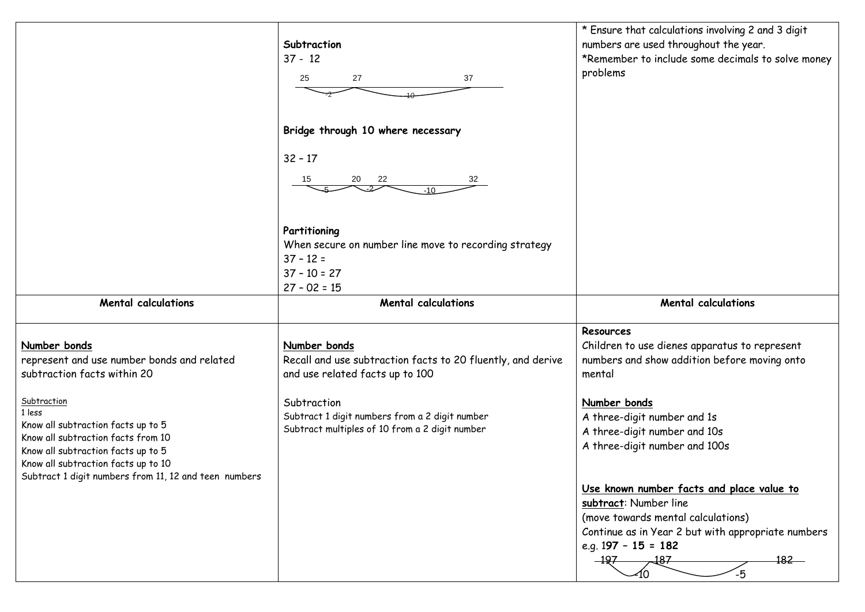|                                                                                                                                                                                                                                         | Subtraction<br>$37 - 12$<br>27<br>37<br>25                                                                               | * Ensure that calculations involving 2 and 3 digit<br>numbers are used throughout the year.<br>*Remember to include some decimals to solve money<br>problems |
|-----------------------------------------------------------------------------------------------------------------------------------------------------------------------------------------------------------------------------------------|--------------------------------------------------------------------------------------------------------------------------|--------------------------------------------------------------------------------------------------------------------------------------------------------------|
|                                                                                                                                                                                                                                         | Bridge through 10 where necessary<br>$32 - 17$<br>15<br>20<br>22<br>32                                                   |                                                                                                                                                              |
|                                                                                                                                                                                                                                         | Partitioning<br>When secure on number line move to recording strategy<br>$37 - 12 =$<br>$37 - 10 = 27$<br>$27 - 02 = 15$ |                                                                                                                                                              |
| <b>Mental calculations</b>                                                                                                                                                                                                              | <b>Mental calculations</b>                                                                                               | <b>Mental calculations</b>                                                                                                                                   |
|                                                                                                                                                                                                                                         |                                                                                                                          |                                                                                                                                                              |
| Number bonds<br>represent and use number bonds and related<br>subtraction facts within 20                                                                                                                                               | Number bonds<br>Recall and use subtraction facts to 20 fluently, and derive<br>and use related facts up to 100           | Resources<br>Children to use dienes apparatus to represent<br>numbers and show addition before moving onto<br>mental                                         |
| Subtraction<br>1 less<br>Know all subtraction facts up to 5<br>Know all subtraction facts from 10<br>Know all subtraction facts up to 5<br>Know all subtraction facts up to 10<br>Subtract 1 digit numbers from 11, 12 and teen numbers | Subtraction<br>Subtract 1 digit numbers from a 2 digit number<br>Subtract multiples of 10 from a 2 digit number          | Number bonds<br>A three-digit number and 1s<br>A three-digit number and 10s<br>A three-digit number and 100s                                                 |